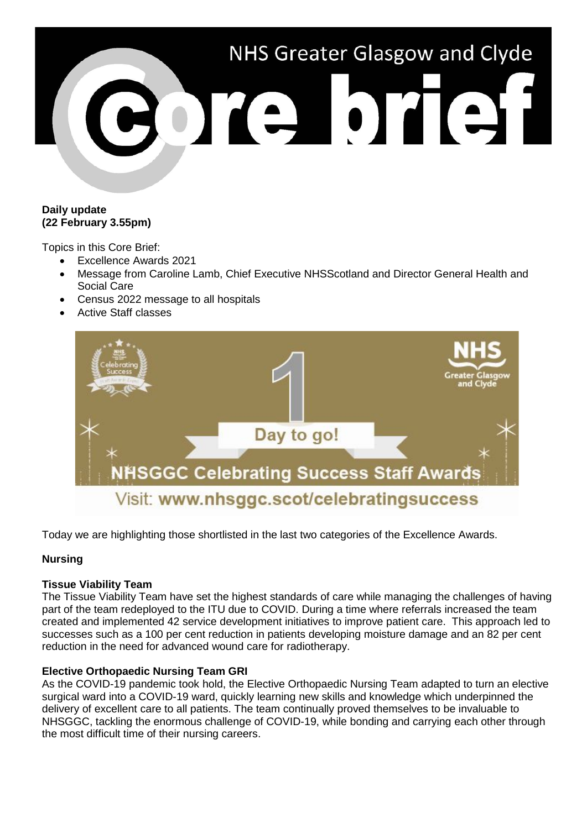

## **Daily update (22 February 3.55pm)**

Topics in this Core Brief:

- Excellence Awards 2021
- Message from Caroline Lamb, Chief Executive NHSScotland and Director General Health and Social Care
- Census 2022 message to all hospitals
- Active Staff classes



Today we are highlighting those shortlisted in the last two categories of the Excellence Awards.

# **Nursing**

### **Tissue Viability Team**

The Tissue Viability Team have set the highest standards of care while managing the challenges of having part of the team redeployed to the ITU due to COVID. During a time where referrals increased the team created and implemented 42 service development initiatives to improve patient care. This approach led to successes such as a 100 per cent reduction in patients developing moisture damage and an 82 per cent reduction in the need for advanced wound care for radiotherapy.

### **Elective Orthopaedic Nursing Team GRI**

As the COVID-19 pandemic took hold, the Elective Orthopaedic Nursing Team adapted to turn an elective surgical ward into a COVID-19 ward, quickly learning new skills and knowledge which underpinned the delivery of excellent care to all patients. The team continually proved themselves to be invaluable to NHSGGC, tackling the enormous challenge of COVID-19, while bonding and carrying each other through the most difficult time of their nursing careers.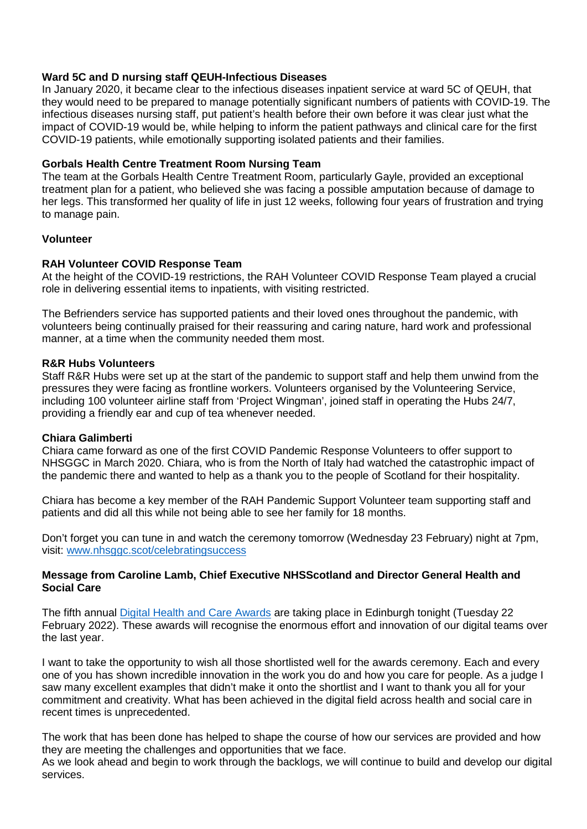## **Ward 5C and D nursing staff QEUH-Infectious Diseases**

In January 2020, it became clear to the infectious diseases inpatient service at ward 5C of QEUH, that they would need to be prepared to manage potentially significant numbers of patients with COVID-19. The infectious diseases nursing staff, put patient's health before their own before it was clear just what the impact of COVID-19 would be, while helping to inform the patient pathways and clinical care for the first COVID-19 patients, while emotionally supporting isolated patients and their families.

## **Gorbals Health Centre Treatment Room Nursing Team**

The team at the Gorbals Health Centre Treatment Room, particularly Gayle, provided an exceptional treatment plan for a patient, who believed she was facing a possible amputation because of damage to her legs. This transformed her quality of life in just 12 weeks, following four years of frustration and trying to manage pain.

### **Volunteer**

### **RAH Volunteer COVID Response Team**

At the height of the COVID-19 restrictions, the RAH Volunteer COVID Response Team played a crucial role in delivering essential items to inpatients, with visiting restricted.

The Befrienders service has supported patients and their loved ones throughout the pandemic, with volunteers being continually praised for their reassuring and caring nature, hard work and professional manner, at a time when the community needed them most.

### **R&R Hubs Volunteers**

Staff R&R Hubs were set up at the start of the pandemic to support staff and help them unwind from the pressures they were facing as frontline workers. Volunteers organised by the Volunteering Service, including 100 volunteer airline staff from 'Project Wingman', joined staff in operating the Hubs 24/7, providing a friendly ear and cup of tea whenever needed.

### **Chiara Galimberti**

Chiara came forward as one of the first COVID Pandemic Response Volunteers to offer support to NHSGGC in March 2020. Chiara, who is from the North of Italy had watched the catastrophic impact of the pandemic there and wanted to help as a thank you to the people of Scotland for their hospitality.

Chiara has become a key member of the RAH Pandemic Support Volunteer team supporting staff and patients and did all this while not being able to see her family for 18 months.

Don't forget you can tune in and watch the ceremony tomorrow (Wednesday 23 February) night at 7pm, visit: [www.nhsggc.scot/celebratingsuccess](http://www.nhsggc.scot/celebratingsuccess)

### **Message from Caroline Lamb, Chief Executive NHSScotland and Director General Health and Social Care**

The fifth annual [Digital Health and Care Awards](https://events.holyrood.com/event/digital-health-and-care-awards-2022/) are taking place in Edinburgh tonight (Tuesday 22 February 2022). These awards will recognise the enormous effort and innovation of our digital teams over the last year.

I want to take the opportunity to wish all those shortlisted well for the awards ceremony. Each and every one of you has shown incredible innovation in the work you do and how you care for people. As a judge I saw many excellent examples that didn't make it onto the shortlist and I want to thank you all for your commitment and creativity. What has been achieved in the digital field across health and social care in recent times is unprecedented.

The work that has been done has helped to shape the course of how our services are provided and how they are meeting the challenges and opportunities that we face.

As we look ahead and begin to work through the backlogs, we will continue to build and develop our digital services.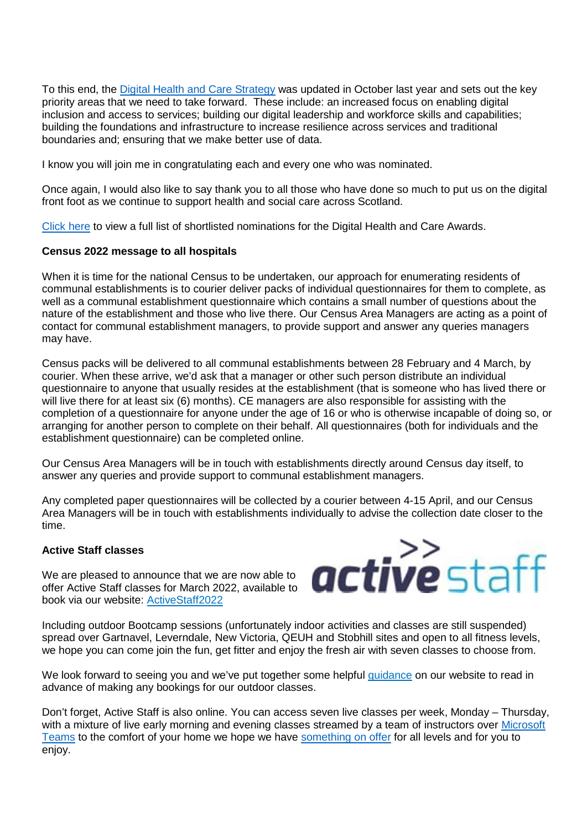To this end, the [Digital Health and Care Strategy](https://www.gov.scot/publications/scotlands-digital-health-care-strategy/) was updated in October last year and sets out the key priority areas that we need to take forward. These include: an increased focus on enabling digital inclusion and access to services; building our digital leadership and workforce skills and capabilities; building the foundations and infrastructure to increase resilience across services and traditional boundaries and; ensuring that we make better use of data.

I know you will join me in congratulating each and every one who was nominated.

Once again, I would also like to say thank you to all those who have done so much to put us on the digital front foot as we continue to support health and social care across Scotland.

[Click here](https://events.holyrood.com/event/digital-health-and-care-awards-2022/) to view a full list of shortlisted nominations for the Digital Health and Care Awards.

#### **Census 2022 message to all hospitals**

When it is time for the national Census to be undertaken, our approach for enumerating residents of communal establishments is to courier deliver packs of individual questionnaires for them to complete, as well as a communal establishment questionnaire which contains a small number of questions about the nature of the establishment and those who live there. Our Census Area Managers are acting as a point of contact for communal establishment managers, to provide support and answer any queries managers may have.

Census packs will be delivered to all communal establishments between 28 February and 4 March, by courier. When these arrive, we'd ask that a manager or other such person distribute an individual questionnaire to anyone that usually resides at the establishment (that is someone who has lived there or will live there for at least six (6) months). CE managers are also responsible for assisting with the completion of a questionnaire for anyone under the age of 16 or who is otherwise incapable of doing so, or arranging for another person to complete on their behalf. All questionnaires (both for individuals and the establishment questionnaire) can be completed online.

Our Census Area Managers will be in touch with establishments directly around Census day itself, to answer any queries and provide support to communal establishment managers.

Any completed paper questionnaires will be collected by a courier between 4-15 April, and our Census Area Managers will be in touch with establishments individually to advise the collection date closer to the time.

### **Active Staff classes**

We are pleased to announce that we are now able to offer Active Staff classes for March 2022, available to book via our website: [ActiveStaff2022](https://link.webropol.com/s/ActiveStaffRegistationFormJanFeb2022)



Including outdoor Bootcamp sessions (unfortunately indoor activities and classes are still suspended) spread over Gartnavel, Leverndale, New Victoria, QEUH and Stobhill sites and open to all fitness levels, we hope you can come join the fun, get fitter and enjoy the fresh air with seven classes to choose from.

We look forward to seeing you and we've put together some helpful [guidance](https://www.nhsggc.org.uk/working-with-us/staff-communications/staff-health-wellbeing/active-staff/re-opening-of-your-active-staff-activities/) on our website to read in advance of making any bookings for our outdoor classes.

Don't forget, Active Staff is also online. You can access seven live classes per week, Monday – Thursday, with a mixture of live early morning and evening classes streamed by a team of instructors over Microsoft [Teams](https://www.microsoft.com/en-gb/microsoft-teams/download-app) to the comfort of your home we hope we have [something on offer](https://www.nhsggc.org.uk/working-with-us/staff-communications/staff-health-wellbeing/active-staff/active-sites/classes-and-activities/) for all levels and for you to enjoy.